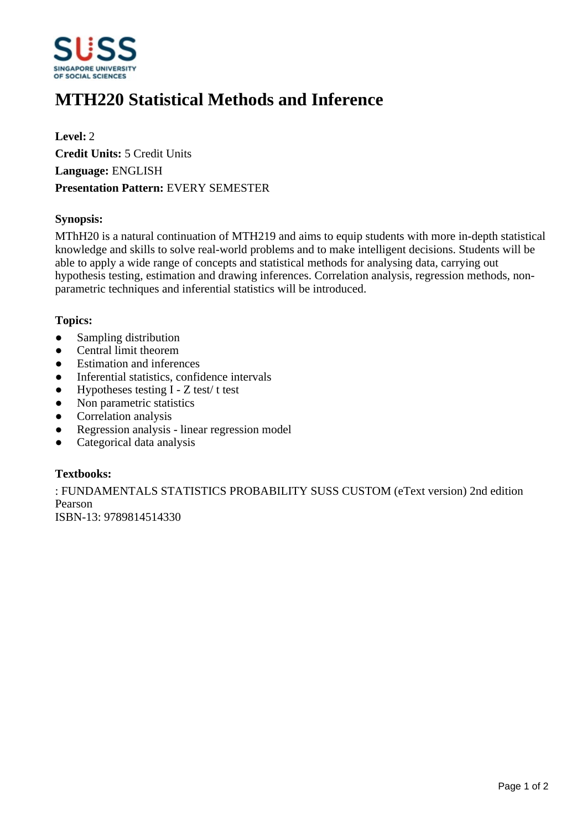

# **MTH220 Statistical Methods and Inference**

**Level:** 2 **Credit Units:** 5 Credit Units **Language:** ENGLISH **Presentation Pattern:** EVERY SEMESTER

## **Synopsis:**

MThH20 is a natural continuation of MTH219 and aims to equip students with more in-depth statistical knowledge and skills to solve real-world problems and to make intelligent decisions. Students will be able to apply a wide range of concepts and statistical methods for analysing data, carrying out hypothesis testing, estimation and drawing inferences. Correlation analysis, regression methods, nonparametric techniques and inferential statistics will be introduced.

#### **Topics:**

- Sampling distribution
- Central limit theorem
- Estimation and inferences
- Inferential statistics, confidence intervals
- $\bullet$  Hypotheses testing I Z test/ t test
- Non parametric statistics
- Correlation analysis
- ƔRegression analysis linear regression model
- Categorical data analysis

## **Textbooks:**

: FUNDAMENTALS STATISTICS PROBABILITY SUSS CUSTOM (eText version) 2nd edition Pearson ISBN-13: 9789814514330